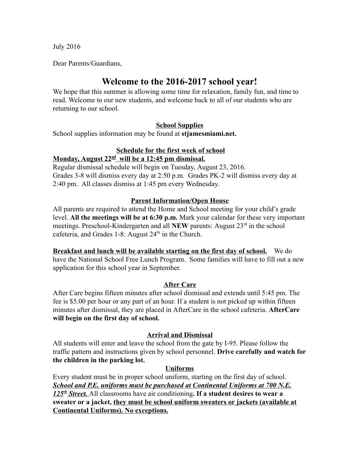July 2016

Dear Parents/Guardians,

# Welcome to the 2016-2017 school year!

We hope that this summer is allowing some time for relaxation, family fun, and time to read. Welcome to our new students, and welcome back to all of our students who are returning to our school.

## School Supplies

School supplies information may be found at stjamesmiami.net.

## Schedule for the first week of school

## Monday, August 22<sup>nd</sup> will be a 12:45 pm dismissal.

Regular dismissal schedule will begin on Tuesday, August 23, 2016. Grades 3-8 will dismiss every day at 2:50 p.m. Grades PK-2 will dismiss every day at 2:40 pm. All classes dismiss at 1:45 pm every Wednesday.

## Parent Information/Open House

All parents are required to attend the Home and School meeting for your child's grade level. All the meetings will be at 6:30 p.m. Mark your calendar for these very important meetings. Preschool-Kindergarten and all NEW parents: August  $23<sup>rd</sup>$  in the school cafeteria, and Grades 1-8: August 24<sup>th</sup> in the Church.

Breakfast and lunch will be available starting on the first day of school. We do have the National School Free Lunch Program. Some families will have to fill out a new application for this school year in September.

# After Care

After Care begins fifteen minutes after school dismissal and extends until 5:45 pm. The fee is \$5.00 per hour or any part of an hour. If a student is not picked up within fifteen minutes after dismissal, they are placed in AfterCare in the school cafeteria. AfterCare will begin on the first day of school.

#### Arrival and Dismissal

All students will enter and leave the school from the gate by I-95. Please follow the traffic pattern and instructions given by school personnel. Drive carefully and watch for the children in the parking lot.

#### Uniforms

Every student must be in proper school uniform, starting on the first day of school. School and P.E. uniforms must be purchased at Continental Uniforms at 700 N.E. 125<sup>th</sup> Street. All classrooms have air conditioning. If a student desires to wear a sweater or a jacket, they must be school uniform sweaters or jackets (available at Continental Uniforms). No exceptions.